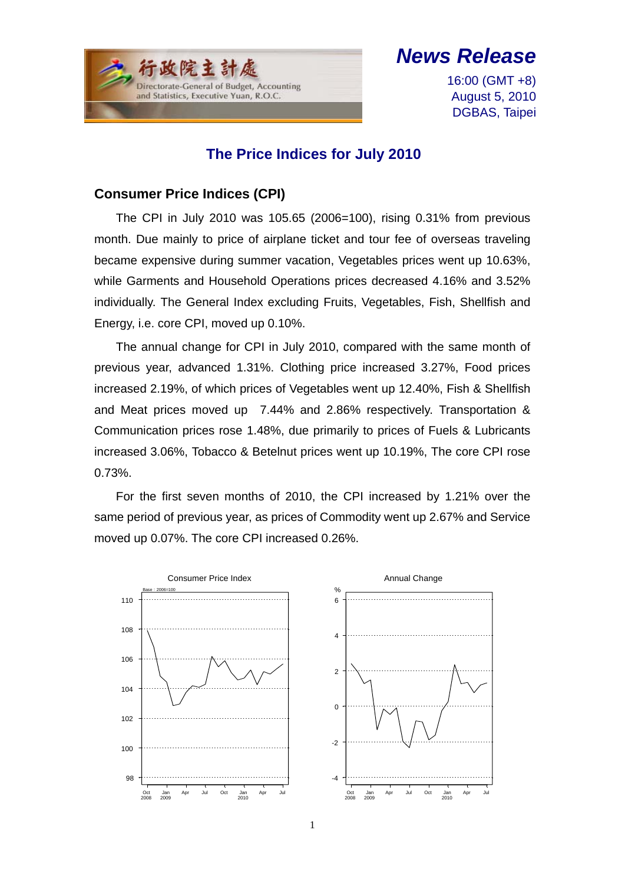$\overline{a}$ Directorate-General of Budget, Accounting and Statistics, Executive Yuan, R.O.C.

# *News Release*

16:00 (GMT +8) August 5, 2010 DGBAS, Taipei

## **The Price Indices for July 2010**

#### **Consumer Price Indices (CPI)**

The CPI in July 2010 was 105.65 (2006=100), rising 0.31% from previous month. Due mainly to price of airplane ticket and tour fee of overseas traveling became expensive during summer vacation, Vegetables prices went up 10.63%, while Garments and Household Operations prices decreased 4.16% and 3.52% individually. The General Index excluding Fruits, Vegetables, Fish, Shellfish and Energy, i.e. core CPI, moved up 0.10%.

The annual change for CPI in July 2010, compared with the same month of previous year, advanced 1.31%. Clothing price increased 3.27%, Food prices increased 2.19%, of which prices of Vegetables went up 12.40%, Fish & Shellfish and Meat prices moved up 7.44% and 2.86% respectively. Transportation & Communication prices rose 1.48%, due primarily to prices of Fuels & Lubricants increased 3.06%, Tobacco & Betelnut prices went up 10.19%, The core CPI rose 0.73%.

For the first seven months of 2010, the CPI increased by 1.21% over the same period of previous year, as prices of Commodity went up 2.67% and Service moved up 0.07%. The core CPI increased 0.26%.

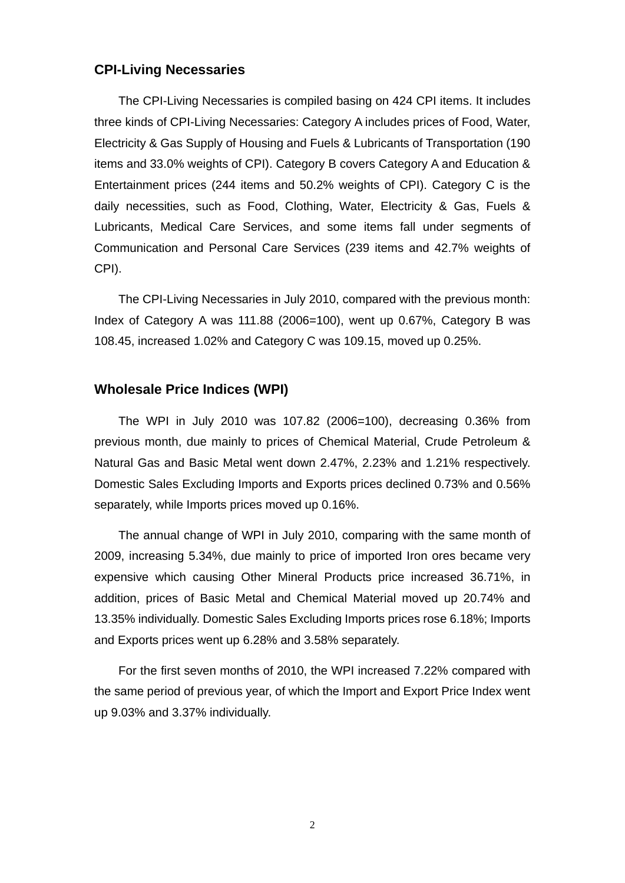#### **CPI-Living Necessaries**

The CPI-Living Necessaries is compiled basing on 424 CPI items. It includes three kinds of CPI-Living Necessaries: Category A includes prices of Food, Water, Electricity & Gas Supply of Housing and Fuels & Lubricants of Transportation (190 items and 33.0% weights of CPI). Category B covers Category A and Education & Entertainment prices (244 items and 50.2% weights of CPI). Category C is the daily necessities, such as Food, Clothing, Water, Electricity & Gas, Fuels & Lubricants, Medical Care Services, and some items fall under segments of Communication and Personal Care Services (239 items and 42.7% weights of CPI).

The CPI-Living Necessaries in July 2010, compared with the previous month: Index of Category A was 111.88 (2006=100), went up 0.67%, Category B was 108.45, increased 1.02% and Category C was 109.15, moved up 0.25%.

#### **Wholesale Price Indices (WPI)**

The WPI in July 2010 was 107.82 (2006=100), decreasing 0.36% from previous month, due mainly to prices of Chemical Material, Crude Petroleum & Natural Gas and Basic Metal went down 2.47%, 2.23% and 1.21% respectively. Domestic Sales Excluding Imports and Exports prices declined 0.73% and 0.56% separately, while Imports prices moved up 0.16%.

The annual change of WPI in July 2010, comparing with the same month of 2009, increasing 5.34%, due mainly to price of imported Iron ores became very expensive which causing Other Mineral Products price increased 36.71%, in addition, prices of Basic Metal and Chemical Material moved up 20.74% and 13.35% individually. Domestic Sales Excluding Imports prices rose 6.18%; Imports and Exports prices went up 6.28% and 3.58% separately.

For the first seven months of 2010, the WPI increased 7.22% compared with the same period of previous year, of which the Import and Export Price Index went up 9.03% and 3.37% individually.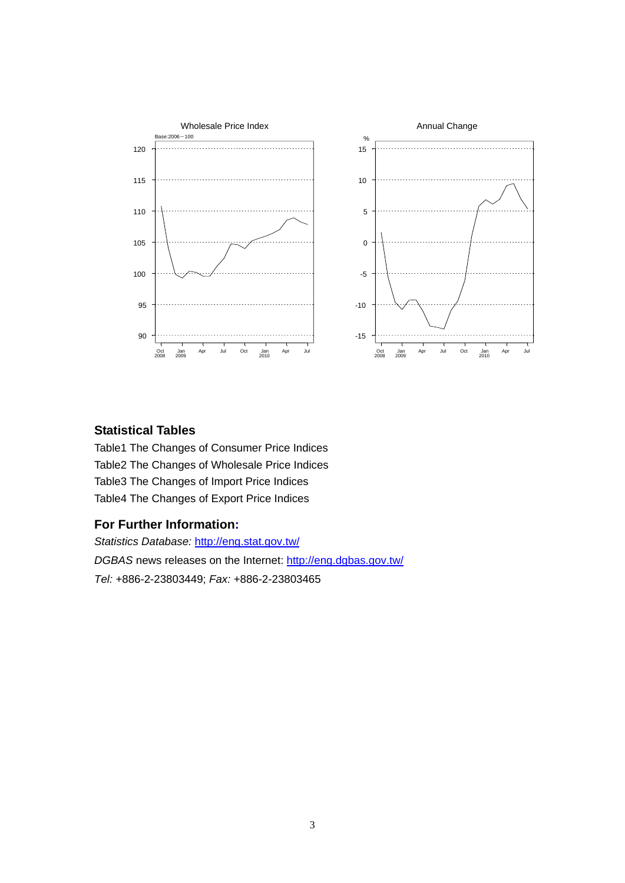

#### **Statistical Tables**

Table1 The Changes of Consumer Price Indices Table2 The Changes of Wholesale Price Indices Table3 The Changes of Import Price Indices Table4 The Changes of Export Price Indices

#### **For Further Information:**

*Statistics Database:* http://eng.stat.gov.tw/ *DGBAS* news releases on the Internet: http://eng.dgbas.gov.tw/ *Tel:* +886-2-23803449; *Fax:* +886-2-23803465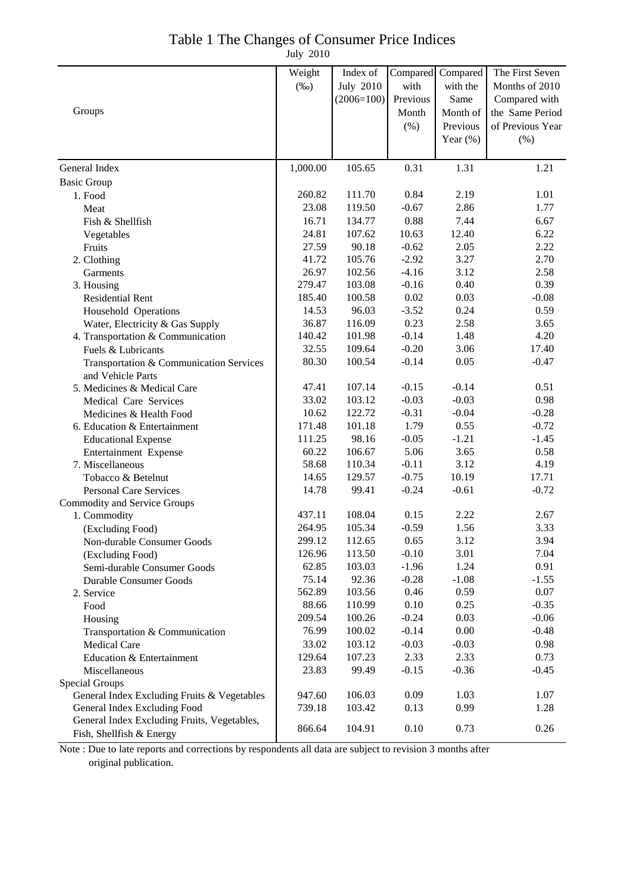### Table 1 The Changes of Consumer Price Indices

July 2010

|                                             | Weight   | Index of         | Compared | Compared    | The First Seven  |
|---------------------------------------------|----------|------------------|----------|-------------|------------------|
|                                             | $(\%0)$  | <b>July 2010</b> | with     | with the    | Months of 2010   |
|                                             |          | $(2006=100)$     | Previous | Same        | Compared with    |
| Groups                                      |          |                  | Month    | Month of    | the Same Period  |
|                                             |          |                  | (% )     | Previous    | of Previous Year |
|                                             |          |                  |          | Year $(\%)$ | $(\% )$          |
|                                             |          |                  |          |             |                  |
| General Index                               | 1,000.00 | 105.65           | 0.31     | 1.31        | 1.21             |
| <b>Basic Group</b>                          |          |                  |          |             |                  |
| 1. Food                                     | 260.82   | 111.70           | 0.84     | 2.19        | 1.01             |
| Meat                                        | 23.08    | 119.50           | $-0.67$  | 2.86        | 1.77             |
| Fish & Shellfish                            | 16.71    | 134.77           | 0.88     | 7.44        | 6.67             |
| Vegetables                                  | 24.81    | 107.62           | 10.63    | 12.40       | 6.22             |
| Fruits                                      | 27.59    | 90.18            | $-0.62$  | 2.05        | 2.22             |
| 2. Clothing                                 | 41.72    | 105.76           | $-2.92$  | 3.27        | 2.70             |
| Garments                                    | 26.97    | 102.56           | $-4.16$  | 3.12        | 2.58             |
| 3. Housing                                  | 279.47   | 103.08           | $-0.16$  | 0.40        | 0.39             |
| <b>Residential Rent</b>                     | 185.40   | 100.58           | 0.02     | 0.03        | $-0.08$          |
| Household Operations                        | 14.53    | 96.03            | $-3.52$  | 0.24        | 0.59             |
| Water, Electricity & Gas Supply             | 36.87    | 116.09           | 0.23     | 2.58        | 3.65             |
| 4. Transportation & Communication           | 140.42   | 101.98           | $-0.14$  | 1.48        | 4.20             |
| Fuels & Lubricants                          | 32.55    | 109.64           | $-0.20$  | 3.06        | 17.40            |
| Transportation & Communication Services     | 80.30    | 100.54           | $-0.14$  | 0.05        | $-0.47$          |
| and Vehicle Parts                           |          |                  |          |             |                  |
| 5. Medicines & Medical Care                 | 47.41    | 107.14           | $-0.15$  | $-0.14$     | 0.51             |
| Medical Care Services                       | 33.02    | 103.12           | $-0.03$  | $-0.03$     | 0.98             |
| Medicines & Health Food                     | 10.62    | 122.72           | $-0.31$  | $-0.04$     | $-0.28$          |
| 6. Education & Entertainment                | 171.48   | 101.18           | 1.79     | 0.55        | $-0.72$          |
| <b>Educational Expense</b>                  | 111.25   | 98.16            | $-0.05$  | $-1.21$     | $-1.45$          |
| Entertainment Expense                       | 60.22    | 106.67           | 5.06     | 3.65        | 0.58             |
| 7. Miscellaneous                            | 58.68    | 110.34           | $-0.11$  | 3.12        | 4.19             |
| Tobacco & Betelnut                          | 14.65    | 129.57           | $-0.75$  | 10.19       | 17.71            |
| <b>Personal Care Services</b>               | 14.78    | 99.41            | $-0.24$  | $-0.61$     | $-0.72$          |
| Commodity and Service Groups                |          |                  |          |             |                  |
| 1. Commodity                                | 437.11   | 108.04           | 0.15     | 2.22        | 2.67             |
| (Excluding Food)                            | 264.95   | 105.34           | $-0.59$  | 1.56        | 3.33             |
| Non-durable Consumer Goods                  | 299.12   | 112.65           | 0.65     | 3.12        | 3.94             |
| (Excluding Food)                            | 126.96   | 113.50           | $-0.10$  | 3.01        | 7.04             |
| Semi-durable Consumer Goods                 | 62.85    | 103.03           | $-1.96$  | 1.24        | 0.91             |
| <b>Durable Consumer Goods</b>               | 75.14    | 92.36            | $-0.28$  | $-1.08$     | $-1.55$          |
| 2. Service                                  | 562.89   | 103.56           | 0.46     | 0.59        | 0.07             |
| Food                                        | 88.66    | 110.99           | 0.10     | 0.25        | $-0.35$          |
| Housing                                     | 209.54   | 100.26           | $-0.24$  | 0.03        | $-0.06$          |
| Transportation & Communication              | 76.99    | 100.02           | $-0.14$  | 0.00        | $-0.48$          |
| <b>Medical Care</b>                         | 33.02    | 103.12           | $-0.03$  | $-0.03$     | 0.98             |
| Education & Entertainment                   | 129.64   | 107.23           | 2.33     | 2.33        | 0.73             |
| Miscellaneous                               | 23.83    | 99.49            | $-0.15$  | $-0.36$     | $-0.45$          |
| Special Groups                              |          |                  |          |             |                  |
| General Index Excluding Fruits & Vegetables | 947.60   | 106.03           | 0.09     | 1.03        | 1.07             |
| General Index Excluding Food                | 739.18   | 103.42           | 0.13     | 0.99        | 1.28             |
| General Index Excluding Fruits, Vegetables, |          |                  |          |             |                  |
| Fish, Shellfish & Energy                    | 866.64   | 104.91           | 0.10     | 0.73        | 0.26             |

Note : Due to late reports and corrections by respondents all data are subject to revision 3 months after original publication.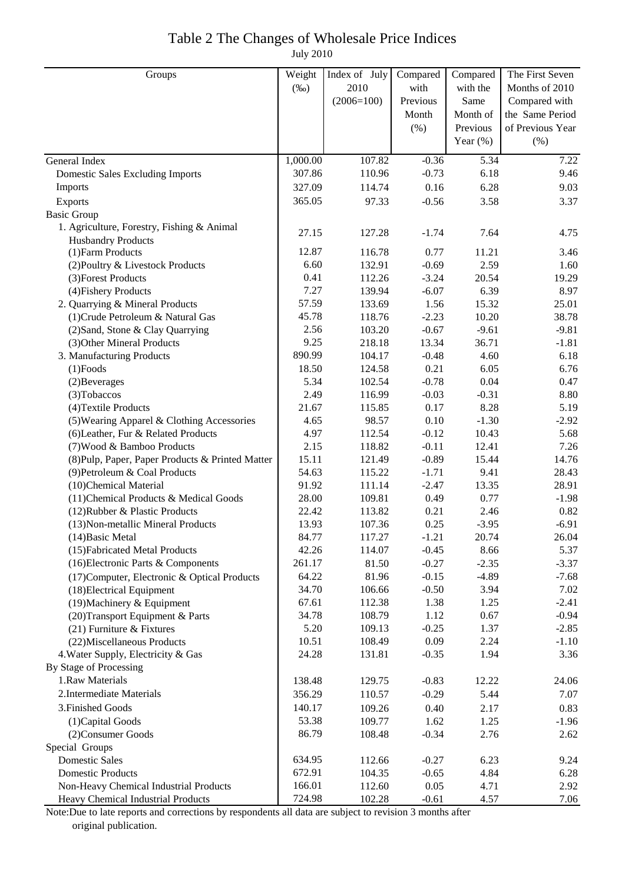## Table 2 The Changes of Wholesale Price Indices

July 2010

| Groups                                           | Weight   | Index of July | Compared | Compared    | The First Seven  |
|--------------------------------------------------|----------|---------------|----------|-------------|------------------|
|                                                  | $(\%0)$  | 2010          | with     | with the    | Months of 2010   |
|                                                  |          | $(2006=100)$  | Previous | Same        | Compared with    |
|                                                  |          |               | Month    | Month of    | the Same Period  |
|                                                  |          |               | (% )     | Previous    | of Previous Year |
|                                                  |          |               |          | Year $(\%)$ | (% )             |
| General Index                                    | 1,000.00 | 107.82        | $-0.36$  | 5.34        | 7.22             |
| <b>Domestic Sales Excluding Imports</b>          | 307.86   | 110.96        | $-0.73$  | 6.18        | 9.46             |
| Imports                                          | 327.09   | 114.74        | 0.16     | 6.28        | 9.03             |
| Exports                                          | 365.05   | 97.33         | $-0.56$  | 3.58        | 3.37             |
| <b>Basic Group</b>                               |          |               |          |             |                  |
| 1. Agriculture, Forestry, Fishing & Animal       | 27.15    | 127.28        | $-1.74$  | 7.64        |                  |
| <b>Husbandry Products</b>                        |          |               |          |             | 4.75             |
| (1) Farm Products                                | 12.87    | 116.78        | 0.77     | 11.21       | 3.46             |
| (2) Poultry & Livestock Products                 | 6.60     | 132.91        | $-0.69$  | 2.59        | 1.60             |
| (3) Forest Products                              | 0.41     | 112.26        | $-3.24$  | 20.54       | 19.29            |
| (4) Fishery Products                             | 7.27     | 139.94        | $-6.07$  | 6.39        | 8.97             |
| 2. Quarrying & Mineral Products                  | 57.59    | 133.69        | 1.56     | 15.32       | 25.01            |
| (1) Crude Petroleum & Natural Gas                | 45.78    | 118.76        | $-2.23$  | 10.20       | 38.78            |
| (2) Sand, Stone & Clay Quarrying                 | 2.56     | 103.20        | $-0.67$  | $-9.61$     | $-9.81$          |
| (3) Other Mineral Products                       | 9.25     | 218.18        | 13.34    | 36.71       | $-1.81$          |
| 3. Manufacturing Products                        | 890.99   | 104.17        | $-0.48$  | 4.60        | 6.18             |
| $(1)$ Foods                                      | 18.50    | 124.58        | 0.21     | 6.05        | 6.76             |
| (2) Beverages                                    | 5.34     | 102.54        | $-0.78$  | 0.04        | 0.47             |
| (3) Tobaccos                                     | 2.49     | 116.99        | $-0.03$  | $-0.31$     | 8.80             |
| (4) Textile Products                             | 21.67    | 115.85        | 0.17     | 8.28        | 5.19             |
| (5) Wearing Apparel & Clothing Accessories       | 4.65     | 98.57         | 0.10     | $-1.30$     | $-2.92$          |
| (6) Leather, Fur & Related Products              | 4.97     | 112.54        | $-0.12$  | 10.43       | 5.68             |
| (7) Wood & Bamboo Products                       | 2.15     | 118.82        | $-0.11$  | 12.41       | 7.26             |
| (8) Pulp, Paper, Paper Products & Printed Matter | 15.11    | 121.49        | $-0.89$  | 15.44       | 14.76            |
| (9) Petroleum & Coal Products                    | 54.63    | 115.22        | $-1.71$  | 9.41        | 28.43            |
| (10)Chemical Material                            | 91.92    | 111.14        | $-2.47$  | 13.35       | 28.91            |
| (11) Chemical Products & Medical Goods           | 28.00    | 109.81        | 0.49     | 0.77        | $-1.98$          |
| (12) Rubber & Plastic Products                   | 22.42    | 113.82        | 0.21     | 2.46        | 0.82             |
| (13) Non-metallic Mineral Products               | 13.93    | 107.36        | 0.25     | $-3.95$     | $-6.91$          |
| $(14)$ Basic Metal                               | 84.77    | 117.27        | $-1.21$  | 20.74       | 26.04            |
| (15) Fabricated Metal Products                   | 42.26    | 114.07        | $-0.45$  | 8.66        | 5.37             |
| (16) Electronic Parts & Components               | 261.17   | 81.50         | $-0.27$  | $-2.35$     | $-3.37$          |
| (17) Computer, Electronic & Optical Products     | 64.22    | 81.96         | $-0.15$  | $-4.89$     | $-7.68$          |
| (18) Electrical Equipment                        | 34.70    | 106.66        | $-0.50$  | 3.94        | 7.02             |
| $(19)$ Machinery & Equipment                     | 67.61    | 112.38        | 1.38     | 1.25        | $-2.41$          |
| (20) Transport Equipment & Parts                 | 34.78    | 108.79        | 1.12     | 0.67        | $-0.94$          |
| $(21)$ Furniture & Fixtures                      | 5.20     | 109.13        | $-0.25$  | 1.37        | $-2.85$          |
| (22) Miscellaneous Products                      | 10.51    | 108.49        | 0.09     | 2.24        | $-1.10$          |
| 4. Water Supply, Electricity & Gas               | 24.28    | 131.81        | $-0.35$  | 1.94        | 3.36             |
| By Stage of Processing                           |          |               |          |             |                  |
| 1.Raw Materials                                  | 138.48   | 129.75        | $-0.83$  | 12.22       | 24.06            |
| 2. Intermediate Materials                        | 356.29   | 110.57        | $-0.29$  | 5.44        | 7.07             |
| 3. Finished Goods                                | 140.17   | 109.26        | 0.40     | 2.17        | 0.83             |
| (1) Capital Goods                                | 53.38    | 109.77        | 1.62     | 1.25        | $-1.96$          |
| (2) Consumer Goods                               | 86.79    | 108.48        | $-0.34$  | 2.76        | 2.62             |
| Special Groups                                   |          |               |          |             |                  |
| <b>Domestic Sales</b>                            | 634.95   | 112.66        | $-0.27$  | 6.23        | 9.24             |
| <b>Domestic Products</b>                         | 672.91   | 104.35        | $-0.65$  | 4.84        | 6.28             |
| Non-Heavy Chemical Industrial Products           | 166.01   | 112.60        | 0.05     | 4.71        | 2.92             |
| Heavy Chemical Industrial Products               | 724.98   | 102.28        | $-0.61$  | 4.57        | 7.06             |

Note:Due to late reports and corrections by respondents all data are subject to revision 3 months after original publication.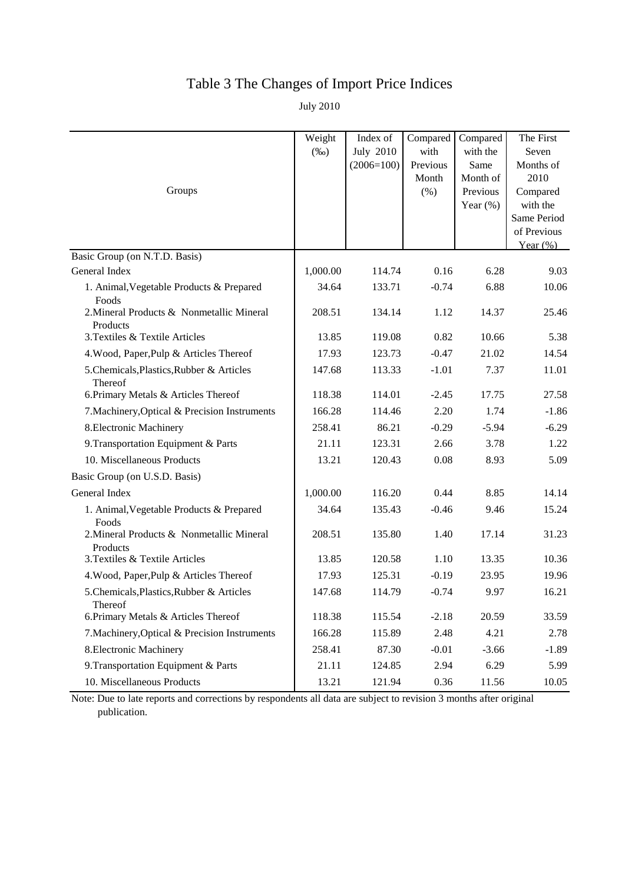# Table 3 The Changes of Import Price Indices

July 2010

|                                                       | Weight<br>$(\%0)$ | Index of<br><b>July 2010</b><br>$(2006=100)$ | Compared<br>with<br>Previous | Compared<br>with the<br>Same        | The First<br>Seven<br>Months of                                           |
|-------------------------------------------------------|-------------------|----------------------------------------------|------------------------------|-------------------------------------|---------------------------------------------------------------------------|
| Groups                                                |                   |                                              | Month<br>(% )                | Month of<br>Previous<br>Year $(\%)$ | 2010<br>Compared<br>with the<br>Same Period<br>of Previous<br>Year $(\%)$ |
| Basic Group (on N.T.D. Basis)                         |                   |                                              |                              |                                     |                                                                           |
| General Index                                         | 1,000.00          | 114.74                                       | 0.16                         | 6.28                                | 9.03                                                                      |
| 1. Animal, Vegetable Products & Prepared<br>Foods     | 34.64             | 133.71                                       | $-0.74$                      | 6.88                                | 10.06                                                                     |
| 2. Mineral Products & Nonmetallic Mineral<br>Products | 208.51            | 134.14                                       | 1.12                         | 14.37                               | 25.46                                                                     |
| 3. Textiles & Textile Articles                        | 13.85             | 119.08                                       | 0.82                         | 10.66                               | 5.38                                                                      |
| 4. Wood, Paper, Pulp & Articles Thereof               | 17.93             | 123.73                                       | $-0.47$                      | 21.02                               | 14.54                                                                     |
| 5.Chemicals, Plastics, Rubber & Articles<br>Thereof   | 147.68            | 113.33                                       | $-1.01$                      | 7.37                                | 11.01                                                                     |
| 6. Primary Metals & Articles Thereof                  | 118.38            | 114.01                                       | $-2.45$                      | 17.75                               | 27.58                                                                     |
| 7. Machinery, Optical & Precision Instruments         | 166.28            | 114.46                                       | 2.20                         | 1.74                                | $-1.86$                                                                   |
| 8. Electronic Machinery                               | 258.41            | 86.21                                        | $-0.29$                      | $-5.94$                             | $-6.29$                                                                   |
| 9. Transportation Equipment & Parts                   | 21.11             | 123.31                                       | 2.66                         | 3.78                                | 1.22                                                                      |
| 10. Miscellaneous Products                            | 13.21             | 120.43                                       | 0.08                         | 8.93                                | 5.09                                                                      |
| Basic Group (on U.S.D. Basis)                         |                   |                                              |                              |                                     |                                                                           |
| General Index                                         | 1,000.00          | 116.20                                       | 0.44                         | 8.85                                | 14.14                                                                     |
| 1. Animal, Vegetable Products & Prepared<br>Foods     | 34.64             | 135.43                                       | $-0.46$                      | 9.46                                | 15.24                                                                     |
| 2. Mineral Products & Nonmetallic Mineral<br>Products | 208.51            | 135.80                                       | 1.40                         | 17.14                               | 31.23                                                                     |
| 3. Textiles & Textile Articles                        | 13.85             | 120.58                                       | 1.10                         | 13.35                               | 10.36                                                                     |
| 4. Wood, Paper, Pulp & Articles Thereof               | 17.93             | 125.31                                       | $-0.19$                      | 23.95                               | 19.96                                                                     |
| 5.Chemicals, Plastics, Rubber & Articles<br>Thereof   | 147.68            | 114.79                                       | $-0.74$                      | 9.97                                | 16.21                                                                     |
| 6. Primary Metals & Articles Thereof                  | 118.38            | 115.54                                       | $-2.18$                      | 20.59                               | 33.59                                                                     |
| 7. Machinery, Optical & Precision Instruments         | 166.28            | 115.89                                       | 2.48                         | 4.21                                | 2.78                                                                      |
| 8. Electronic Machinery                               | 258.41            | 87.30                                        | $-0.01$                      | $-3.66$                             | $-1.89$                                                                   |
| 9. Transportation Equipment & Parts                   | 21.11             | 124.85                                       | 2.94                         | 6.29                                | 5.99                                                                      |
| 10. Miscellaneous Products                            | 13.21             | 121.94                                       | 0.36                         | 11.56                               | 10.05                                                                     |

Note: Due to late reports and corrections by respondents all data are subject to revision 3 months after original publication.